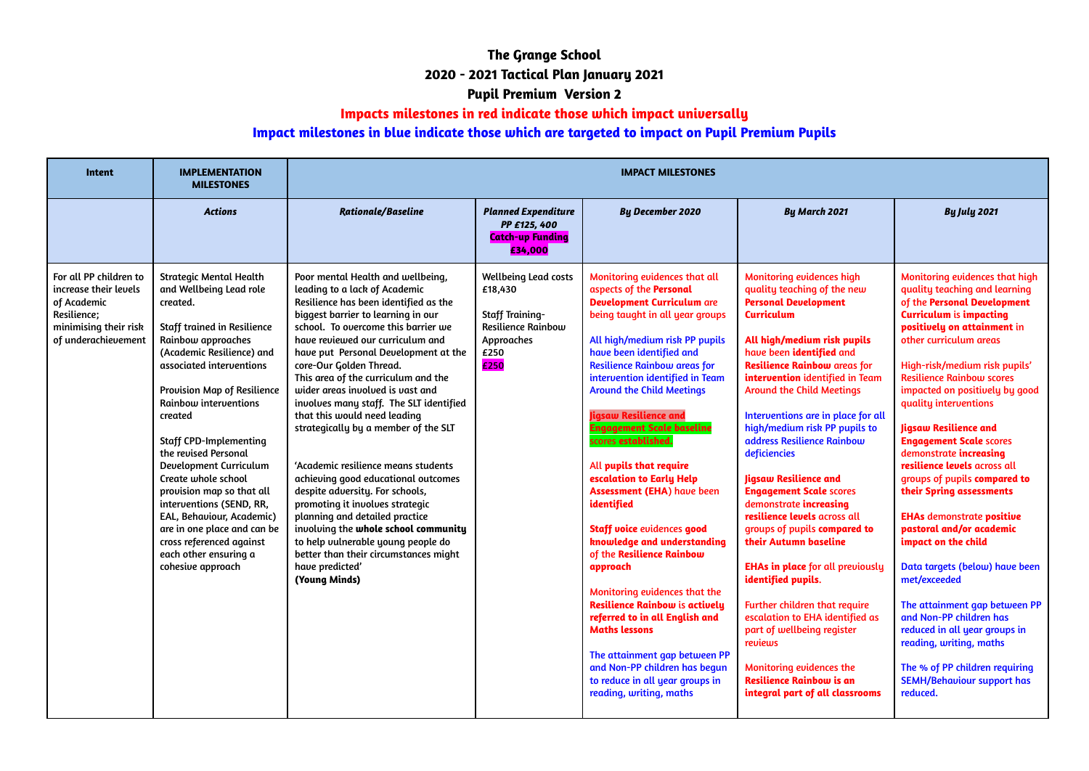## **The Grange School 2020 - 2021 Tactical Plan January 2021 Pupil Premium Version 2**

## **Impacts milestones in red indicate those which impact universally**

## **Impact milestones in blue indicate those which are targeted to impact on Pupil Premium Pupils**

| <b>Intent</b>                                                                                                                 | <b>IMPLEMENTATION</b><br><b>MILESTONES</b>                                                                                                                                                                                                                                                                                                                                                                                                                                                                                                                      | <b>IMPACT MILESTONES</b>                                                                                                                                                                                                                                                                                                                                                                                                                                                                                                                                                                                                                                                                                                                                                                                                                       |                                                                                                                             |                                                                                                                                                                                                                                                                                                                                                                                                                                                                                                                                                                                                                                                                                                                                                                                                                                                                                                    |                                                                                                                                                                                                                                                                                                                                                                                                                                                                                                                                                                                                                                                                                                                                                                                                                                                                                               |                                                                                                                                                                                                                                                                                                                                                                                                                                                                                                                                                                                                                                                                                                                                                                                                                                                                       |  |  |  |
|-------------------------------------------------------------------------------------------------------------------------------|-----------------------------------------------------------------------------------------------------------------------------------------------------------------------------------------------------------------------------------------------------------------------------------------------------------------------------------------------------------------------------------------------------------------------------------------------------------------------------------------------------------------------------------------------------------------|------------------------------------------------------------------------------------------------------------------------------------------------------------------------------------------------------------------------------------------------------------------------------------------------------------------------------------------------------------------------------------------------------------------------------------------------------------------------------------------------------------------------------------------------------------------------------------------------------------------------------------------------------------------------------------------------------------------------------------------------------------------------------------------------------------------------------------------------|-----------------------------------------------------------------------------------------------------------------------------|----------------------------------------------------------------------------------------------------------------------------------------------------------------------------------------------------------------------------------------------------------------------------------------------------------------------------------------------------------------------------------------------------------------------------------------------------------------------------------------------------------------------------------------------------------------------------------------------------------------------------------------------------------------------------------------------------------------------------------------------------------------------------------------------------------------------------------------------------------------------------------------------------|-----------------------------------------------------------------------------------------------------------------------------------------------------------------------------------------------------------------------------------------------------------------------------------------------------------------------------------------------------------------------------------------------------------------------------------------------------------------------------------------------------------------------------------------------------------------------------------------------------------------------------------------------------------------------------------------------------------------------------------------------------------------------------------------------------------------------------------------------------------------------------------------------|-----------------------------------------------------------------------------------------------------------------------------------------------------------------------------------------------------------------------------------------------------------------------------------------------------------------------------------------------------------------------------------------------------------------------------------------------------------------------------------------------------------------------------------------------------------------------------------------------------------------------------------------------------------------------------------------------------------------------------------------------------------------------------------------------------------------------------------------------------------------------|--|--|--|
|                                                                                                                               | <b>Actions</b>                                                                                                                                                                                                                                                                                                                                                                                                                                                                                                                                                  | <b>Rationale/Baseline</b>                                                                                                                                                                                                                                                                                                                                                                                                                                                                                                                                                                                                                                                                                                                                                                                                                      | <b>Planned Expenditure</b><br>PP £125, 400<br><b>Catch-up Funding</b><br>£34,000                                            | <b>By December 2020</b>                                                                                                                                                                                                                                                                                                                                                                                                                                                                                                                                                                                                                                                                                                                                                                                                                                                                            | <b>By March 2021</b>                                                                                                                                                                                                                                                                                                                                                                                                                                                                                                                                                                                                                                                                                                                                                                                                                                                                          | <b>By July 2021</b>                                                                                                                                                                                                                                                                                                                                                                                                                                                                                                                                                                                                                                                                                                                                                                                                                                                   |  |  |  |
| For all PP children to<br>increase their levels<br>of Academic<br>Resilience;<br>minimising their risk<br>of underachievement | <b>Strategic Mental Health</b><br>and Wellbeing Lead role<br>created.<br>Staff trained in Resilience<br>Rainbow approaches<br>(Academic Resilience) and<br>associated interventions<br>Provision Map of Resilience<br>Rainbow interventions<br>created<br><b>Staff CPD-Implementing</b><br>the revised Personal<br>Development Curriculum<br>Create whole school<br>provision map so that all<br>interventions (SEND, RR,<br>EAL, Behaviour, Academic)<br>are in one place and can be<br>cross referenced against<br>each other ensuring a<br>cohesive approach | Poor mental Health and wellbeing,<br>leading to a lack of Academic<br>Resilience has been identified as the<br>biggest barrier to learning in our<br>school. To overcome this barrier we<br>have reviewed our curriculum and<br>have put Personal Development at the<br>core-Our Golden Thread.<br>This area of the curriculum and the<br>wider areas involved is vast and<br>involves many staff. The SLT identified<br>that this would need leading<br>strategically by a member of the SLT<br>'Academic resilience means students<br>achieving good educational outcomes<br>despite adversity. For schools,<br>promoting it involves strategic<br>planning and detailed practice<br>involving the whole school community<br>to help vulnerable young people do<br>better than their circumstances might<br>have predicted'<br>(Young Minds) | <b>Wellbeing Lead costs</b><br>£18,430<br><b>Staff Training-</b><br><b>Resilience Rainbow</b><br>Approaches<br>£250<br>£250 | Monitoring evidences that all<br>aspects of the Personal<br><b>Development Curriculum are</b><br>being taught in all year groups<br>All high/medium risk PP pupils<br>have been identified and<br><b>Resilience Rainbow areas for</b><br>intervention identified in Team<br><b>Around the Child Meetings</b><br><b>Jigsaw Resilience and</b><br><b>Engagement Scale baseline</b><br>scores established.<br>All pupils that require<br>escalation to Early Help<br><b>Assessment (EHA) have been</b><br>identified<br><b>Staff voice evidences good</b><br>knowledge and understanding<br>of the Resilience Rainbow<br>approach<br>Monitoring evidences that the<br><b>Resilience Rainbow is actively</b><br>referred to in all English and<br><b>Maths lessons</b><br>The attainment gap between PP<br>and Non-PP children has begun<br>to reduce in all year groups in<br>reading, writing, maths | <b>Monitoring evidences high</b><br>quality teaching of the new<br><b>Personal Development</b><br><b>Curriculum</b><br>All high/medium risk pupils<br>have been identified and<br><b>Resilience Rainbow areas for</b><br>intervention identified in Team<br><b>Around the Child Meetings</b><br>Interventions are in place for all<br>high/medium risk PP pupils to<br>address Resilience Rainbow<br>deficiencies<br><b>Jigsaw Resilience and</b><br><b>Engagement Scale scores</b><br>demonstrate increasing<br>resilience levels across all<br>groups of pupils compared to<br>their Autumn baseline<br><b>EHAs in place for all previously</b><br>identified pupils.<br>Further children that require<br>escalation to EHA identified as<br>part of wellbeing register<br>reviews<br><b>Monitoring evidences the</b><br><b>Resilience Rainbow is an</b><br>integral part of all classrooms | Monitoring evidences that high<br>quality teaching and learning<br>of the Personal Development<br><b>Curriculum is impacting</b><br>positively on attainment in<br>other curriculum areas<br>High-risk/medium risk pupils'<br><b>Resilience Rainbow scores</b><br>impacted on positively by good<br>quality interventions<br><b>Jigsaw Resilience and</b><br><b>Engagement Scale scores</b><br>demonstrate increasing<br>resilience levels across all<br>groups of pupils compared to<br>their Spring assessments<br><b>EHAs demonstrate positive</b><br>pastoral and/or academic<br>impact on the child<br>Data targets (below) have been<br>met/exceeded<br>The attainment gap between PP<br>and Non-PP children has<br>reduced in all year groups in<br>reading, writing, maths<br>The % of PP children requiring<br><b>SEMH/Behaviour support has</b><br>reduced. |  |  |  |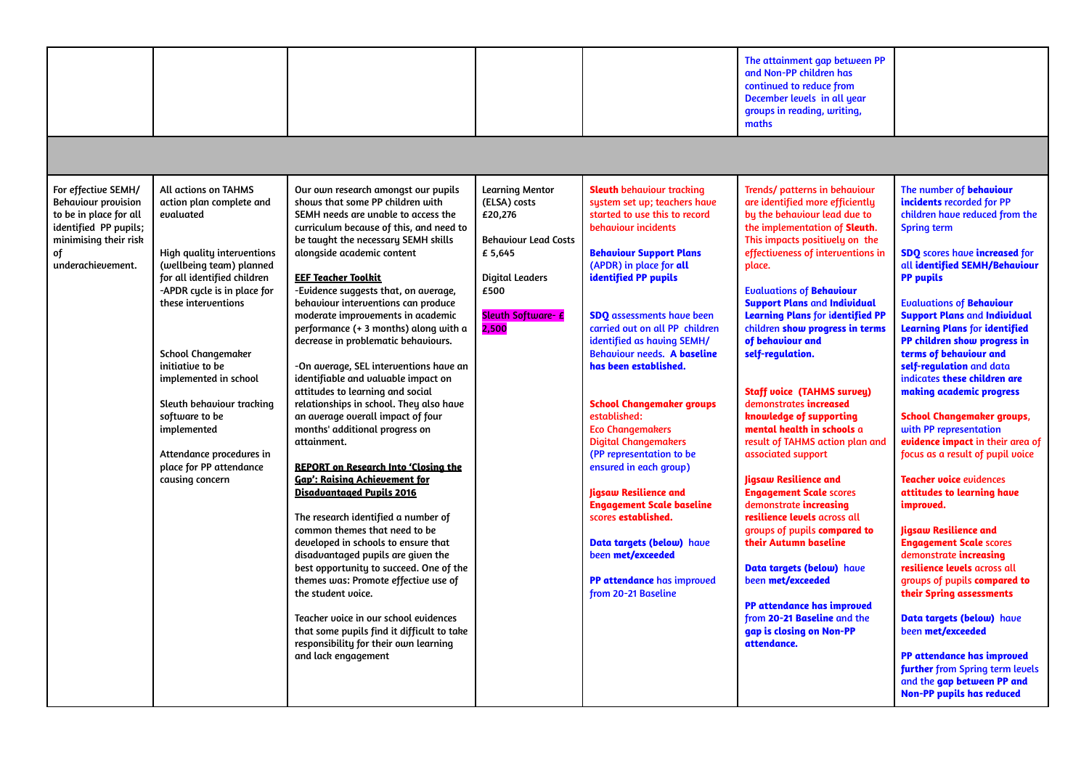|                                                                                                                                                          |                                                                                                                                                                                                                                                                                                                                                                                                                                |                                                                                                                                                                                                                                                                                                                                                                                                                                                                                                                                                                                                                                                                                                                                                                                                                                                                                                                                                                                                                                                                                                                                                                                                                                                                        |                                                                                                                                                              |                                                                                                                                                                                                                                                                                                                                                                                                                                                                                                                                                                                                                                                                                                                                                 | The attainment gap between PP<br>and Non-PP children has<br>continued to reduce from<br>December levels in all year<br>groups in reading, writing,<br>maths                                                                                                                                                                                                                                                                                                                                                                                                                                                                                                                                                                                                                                                                                                                                                                                               |                                                                                                                                                                                                                                                                                                                                                                                                                                                                                                                                                                                                                                                                                                                                                                                                                                                                                                                                                                                                                                                                                       |
|----------------------------------------------------------------------------------------------------------------------------------------------------------|--------------------------------------------------------------------------------------------------------------------------------------------------------------------------------------------------------------------------------------------------------------------------------------------------------------------------------------------------------------------------------------------------------------------------------|------------------------------------------------------------------------------------------------------------------------------------------------------------------------------------------------------------------------------------------------------------------------------------------------------------------------------------------------------------------------------------------------------------------------------------------------------------------------------------------------------------------------------------------------------------------------------------------------------------------------------------------------------------------------------------------------------------------------------------------------------------------------------------------------------------------------------------------------------------------------------------------------------------------------------------------------------------------------------------------------------------------------------------------------------------------------------------------------------------------------------------------------------------------------------------------------------------------------------------------------------------------------|--------------------------------------------------------------------------------------------------------------------------------------------------------------|-------------------------------------------------------------------------------------------------------------------------------------------------------------------------------------------------------------------------------------------------------------------------------------------------------------------------------------------------------------------------------------------------------------------------------------------------------------------------------------------------------------------------------------------------------------------------------------------------------------------------------------------------------------------------------------------------------------------------------------------------|-----------------------------------------------------------------------------------------------------------------------------------------------------------------------------------------------------------------------------------------------------------------------------------------------------------------------------------------------------------------------------------------------------------------------------------------------------------------------------------------------------------------------------------------------------------------------------------------------------------------------------------------------------------------------------------------------------------------------------------------------------------------------------------------------------------------------------------------------------------------------------------------------------------------------------------------------------------|---------------------------------------------------------------------------------------------------------------------------------------------------------------------------------------------------------------------------------------------------------------------------------------------------------------------------------------------------------------------------------------------------------------------------------------------------------------------------------------------------------------------------------------------------------------------------------------------------------------------------------------------------------------------------------------------------------------------------------------------------------------------------------------------------------------------------------------------------------------------------------------------------------------------------------------------------------------------------------------------------------------------------------------------------------------------------------------|
|                                                                                                                                                          |                                                                                                                                                                                                                                                                                                                                                                                                                                |                                                                                                                                                                                                                                                                                                                                                                                                                                                                                                                                                                                                                                                                                                                                                                                                                                                                                                                                                                                                                                                                                                                                                                                                                                                                        |                                                                                                                                                              |                                                                                                                                                                                                                                                                                                                                                                                                                                                                                                                                                                                                                                                                                                                                                 |                                                                                                                                                                                                                                                                                                                                                                                                                                                                                                                                                                                                                                                                                                                                                                                                                                                                                                                                                           |                                                                                                                                                                                                                                                                                                                                                                                                                                                                                                                                                                                                                                                                                                                                                                                                                                                                                                                                                                                                                                                                                       |
| For effective SEMH/<br><b>Behaviour provision</b><br>to be in place for all<br>identified PP pupils;<br>minimising their risk<br>of<br>underachievement. | All actions on TAHMS<br>action plan complete and<br>evaluated<br>High quality interventions<br>(wellbeing team) planned<br>for all identified children<br>-APDR cycle is in place for<br>these interventions<br><b>School Changemaker</b><br>initiative to be<br>implemented in school<br>Sleuth behaviour tracking<br>software to be<br>implemented<br>Attendance procedures in<br>place for PP attendance<br>causing concern | Our own research amongst our pupils<br>shows that some PP children with<br>SEMH needs are unable to access the<br>curriculum because of this, and need to<br>be taught the necessary SEMH skills<br>alongside academic content<br><b>EEF Teacher Toolkit</b><br>-Evidence suggests that, on average,<br>behaviour interventions can produce<br>moderate improvements in academic<br>performance (+ 3 months) along with a<br>decrease in problematic behaviours.<br>-On average, SEL interventions have an<br>identifiable and valuable impact on<br>attitudes to learning and social<br>relationships in school. They also have<br>an average overall impact of four<br>months' additional progress on<br>attainment.<br><b>REPORT on Research Into 'Closing the</b><br><b>Gap': Raising Achievement for</b><br><b>Disadvantaged Pupils 2016</b><br>The research identified a number of<br>common themes that need to be<br>developed in schools to ensure that<br>disadvantaged pupils are given the<br>best opportunity to succeed. One of the<br>themes was: Promote effective use of<br>the student voice.<br>Teacher voice in our school evidences<br>that some pupils find it difficult to take<br>responsibility for their own learning<br>and lack engagement | <b>Learning Mentor</b><br>(ELSA) costs<br>£20,276<br><b>Behaviour Lead Costs</b><br>£ 5,645<br><b>Digital Leaders</b><br>£500<br>Sleuth Software- £<br>2,500 | <b>Sleuth</b> behaviour tracking<br>system set up; teachers have<br>started to use this to record<br>behaviour incidents<br><b>Behaviour Support Plans</b><br>(APDR) in place for all<br>identified PP pupils<br><b>SDQ</b> assessments have been<br>carried out on all PP children<br>identified as having SEMH/<br><b>Behaviour needs. A baseline</b><br>has been established.<br><b>School Changemaker groups</b><br>established:<br><b>Eco Changemakers</b><br><b>Digital Changemakers</b><br>(PP representation to be<br>ensured in each group)<br>Jigsaw Resilience and<br><b>Engagement Scale baseline</b><br>scores established.<br>Data targets (below) have<br>been met/exceeded<br>PP attendance has improved<br>from 20-21 Baseline | Trends/ patterns in behaviour<br>are identified more efficiently<br>by the behaviour lead due to<br>the implementation of Sleuth.<br>This impacts positively on the<br>effectiveness of interventions in<br>place.<br><b>Evaluations of Behaviour</b><br><b>Support Plans and Individual</b><br><b>Learning Plans for identified PP</b><br>children show progress in terms<br>of behaviour and<br>self-regulation.<br><b>Staff voice (TAHMS survey)</b><br>demonstrates increased<br>knowledge of supporting<br>mental health in schools a<br>result of TAHMS action plan and<br>associated support<br><b>Jigsaw Resilience and</b><br><b>Engagement Scale scores</b><br>demonstrate increasing<br>resilience levels across all<br>groups of pupils compared to<br>their Autumn baseline<br>Data targets (below) have<br>been met/exceeded<br><b>PP attendance has improved</b><br>from 20-21 Baseline and the<br>gap is closing on Non-PP<br>attendance. | The number of behaviour<br>incidents recorded for PP<br>children have reduced from the<br><b>Spring term</b><br><b>SDQ</b> scores have increased for<br>all identified SEMH/Behaviour<br><b>PP</b> pupils<br><b>Evaluations of Behaviour</b><br><b>Support Plans and Individual</b><br><b>Learning Plans for identified</b><br>PP children show progress in<br>terms of behaviour and<br>self-regulation and data<br>indicates these children are<br>making academic progress<br><b>School Changemaker groups,</b><br>with PP representation<br>evidence impact in their area of<br>focus as a result of pupil voice<br><b>Teacher voice evidences</b><br>attitudes to learning have<br>improved.<br><b>Jigsaw Resilience and</b><br><b>Engagement Scale scores</b><br>demonstrate increasing<br>resilience levels across all<br>groups of pupils compared to<br>their Spring assessments<br>Data targets (below) have<br>been met/exceeded<br><b>PP attendance has improved</b><br>further from Spring term levels<br>and the gap between PP and<br><b>Non-PP pupils has reduced</b> |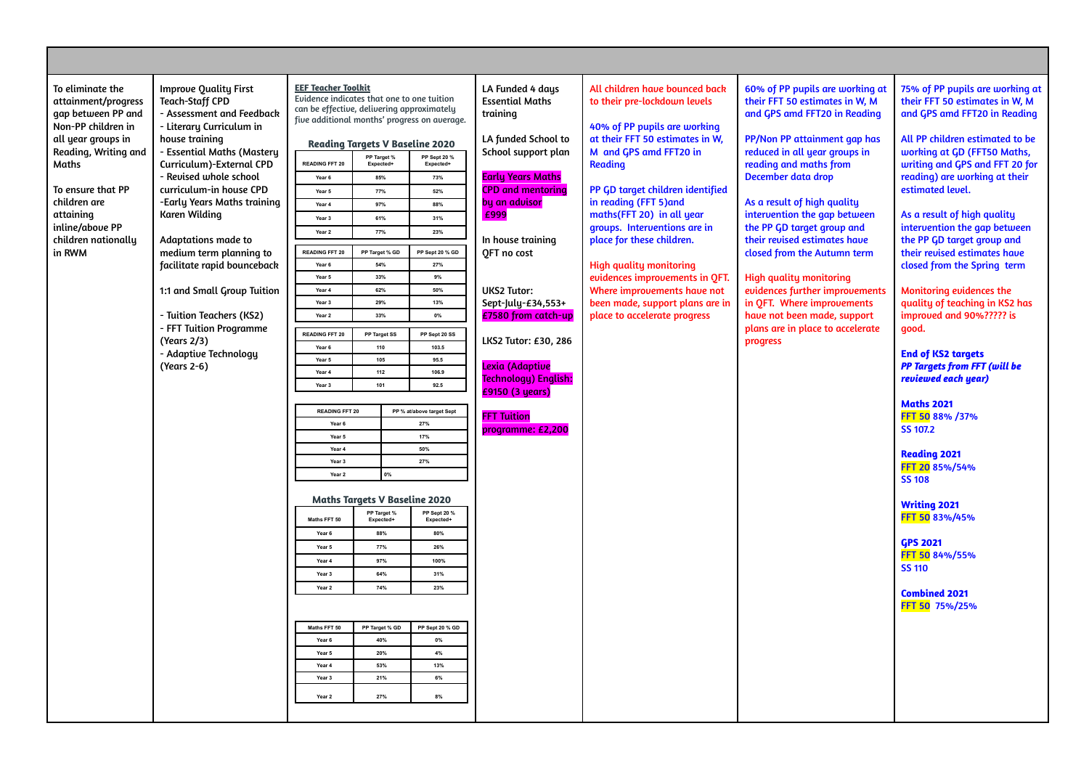| To eliminate the<br>attainment/progress<br>gap between PP and<br>Non-PP children in<br>all year groups in<br>Reading, Writing and<br>Maths<br>To ensure that PP<br>children are<br>attaining<br>inline/above PP<br>children nationally<br>in RWM | <b>Improve Quality First</b><br><b>Teach-Staff CPD</b><br>- Assessment and Feedback<br>- Literary Curriculum in<br>house training<br>- Essential Maths (Mastery<br>Curriculum)-External CPD<br>- Revised whole school<br>curriculum-in house CPD<br>-Early Years Maths training<br>Karen Wilding<br><b>Adaptations made to</b><br>medium term planning to<br>facilitate rapid bounceback<br>1:1 and Small Group Tuition<br>- Tuition Teachers (KS2)<br>- FFT Tuition Programme<br>(Years 2/3)<br>- Adaptive Technology<br>(Years 2-6) | <b>EEF Teacher Toolkit</b><br>Evidence indicates that one to one tuition<br>can be effective, delivering approximately<br><b>READING FFT 20</b><br>Year 6<br>Year 5<br>Year 4<br>Year 3<br>Year 2<br><b>READING FFT 20</b><br>Year <sub>6</sub><br>Year 5<br>Year 4<br>Year 3<br>Year 2<br><b>READING FFT 20</b><br>Year 6<br>Year 5<br>Year 4<br>Year 3<br><b>READING FFT 20</b><br>Year 6<br>Year 5<br>Year 4<br>Year 3<br>Year 2<br>Maths FFT 50<br>Year 6<br>Year 5<br>Year 4<br>Year 3<br>Year 2<br>Maths FFT 50<br>Year 6<br>Year 5<br>Year 4<br>Year 3<br>Year 2 | <b>Reading Targets V Baseline 2020</b><br>PP Target %<br>Expected+<br>85%<br>77%<br>97%<br>61%<br>77%<br>PP Target % GD<br>54%<br>33%<br>62%<br>29%<br>33%<br>PP Target SS<br>110<br>105<br>$112$<br>101<br>0%<br><b>Maths Targets V Baseline 2020</b><br>PP Target %<br>Expected+<br>88%<br>77%<br>97%<br>64%<br>74%<br>PP Target % GD<br>40%<br>20%<br>53%<br>21%<br>27% | five additional months' progress on average.<br>PP Sept 20 %<br>Expected+<br>73%<br>52%<br>88%<br>31%<br>23%<br>PP Sept 20 % GD<br>27%<br>9%<br>50%<br>13%<br>$0\%$<br>PP Sept 20 SS<br>103.5<br>95.5<br>106.9<br>92.5<br>PP % at/above target Sept<br>27%<br>17%<br>50%<br>27%<br>PP Sept 20 %<br><b>Expected-</b><br>80%<br>26%<br>100%<br>31%<br>23%<br>PP Sept 20 % GD<br>$0\%$<br>$4\%$<br>13%<br>$6\%$<br>8% | LA Funded 4 days<br><b>Essential Maths</b><br>training<br>LA funded School to<br>School support plan<br><b>Early Years Maths</b><br><b>CPD</b> and mentoring<br>by an advisor<br>£999<br>In house training<br>OFT no cost<br><b>UKS2 Tutor:</b><br>Sept-July-£34,553+<br>£7580 from catch-up<br>LKS2 Tutor: £30, 286<br>Lexia (Adaptive<br>Technology) English:<br>£9150 (3 years)<br><b>FFT Tuition</b><br>programme: £2,200 | All children have bounced back<br>to their pre-lockdown levels<br>40% of PP pupils are working<br>at their FFT 50 estimates in W,<br>M and GPS amd FFT20 in<br><b>Reading</b><br>PP GD target children identified<br>in reading (FFT 5) and<br>maths(FFT 20) in all year<br>groups. Interventions are in<br>place for these children.<br><b>High quality monitoring</b><br>evidences improvements in OFT.<br>Where improvements have not<br>been made, support plans are in<br>place to accelerate progress | 60% of PP pupils are working at<br>their FFT 50 estimates in W, M<br>and GPS amd FFT20 in Reading<br>PP/Non PP attainment gap has<br>reduced in all year groups in<br>reading and maths from<br>December data drop<br>As a result of high quality<br>intervention the gap between<br>the PP GD target group and<br>their revised estimates have<br>closed from the Autumn term<br><b>High quality monitoring</b><br>evidences further improvements<br>in QFT. Where improvements<br>have not been made, support<br>plans are in place to accelerate<br>progress | 75% of PP pupils are working at<br>their FFT 50 estimates in W, M<br>and GPS amd FFT20 in Reading<br>All PP children estimated to be<br>working at GD (FFT50 Maths,<br>writing and GPS and FFT 20 for<br>reading) are working at their<br>estimated level.<br>As a result of high quality<br>intervention the gap between<br>the PP GD target group and<br>their revised estimates have<br>closed from the Spring term<br>Monitoring evidences the<br>quality of teaching in KS2 has<br>improved and 90%????? is<br>qood.<br><b>End of KS2 targets</b><br><b>PP Targets from FFT (will be</b><br>reviewed each year)<br><b>Maths 2021</b><br>FFT 50 88% /37%<br>SS 107.2<br><b>Reading 2021</b><br>FFT 20 85%/54%<br><b>SS 108</b><br><b>Writing 2021</b><br>FFT 50 83%/45%<br><b>GPS 2021</b><br>FFT 50 84%/55%<br><b>SS 110</b><br><b>Combined 2021</b><br>FFT 50 75%/25% |
|--------------------------------------------------------------------------------------------------------------------------------------------------------------------------------------------------------------------------------------------------|---------------------------------------------------------------------------------------------------------------------------------------------------------------------------------------------------------------------------------------------------------------------------------------------------------------------------------------------------------------------------------------------------------------------------------------------------------------------------------------------------------------------------------------|-------------------------------------------------------------------------------------------------------------------------------------------------------------------------------------------------------------------------------------------------------------------------------------------------------------------------------------------------------------------------------------------------------------------------------------------------------------------------------------------------------------------------------------------------------------------------|----------------------------------------------------------------------------------------------------------------------------------------------------------------------------------------------------------------------------------------------------------------------------------------------------------------------------------------------------------------------------|--------------------------------------------------------------------------------------------------------------------------------------------------------------------------------------------------------------------------------------------------------------------------------------------------------------------------------------------------------------------------------------------------------------------|-------------------------------------------------------------------------------------------------------------------------------------------------------------------------------------------------------------------------------------------------------------------------------------------------------------------------------------------------------------------------------------------------------------------------------|-------------------------------------------------------------------------------------------------------------------------------------------------------------------------------------------------------------------------------------------------------------------------------------------------------------------------------------------------------------------------------------------------------------------------------------------------------------------------------------------------------------|-----------------------------------------------------------------------------------------------------------------------------------------------------------------------------------------------------------------------------------------------------------------------------------------------------------------------------------------------------------------------------------------------------------------------------------------------------------------------------------------------------------------------------------------------------------------|-----------------------------------------------------------------------------------------------------------------------------------------------------------------------------------------------------------------------------------------------------------------------------------------------------------------------------------------------------------------------------------------------------------------------------------------------------------------------------------------------------------------------------------------------------------------------------------------------------------------------------------------------------------------------------------------------------------------------------------------------------------------------------------------------------------------------------------------------------------------------------|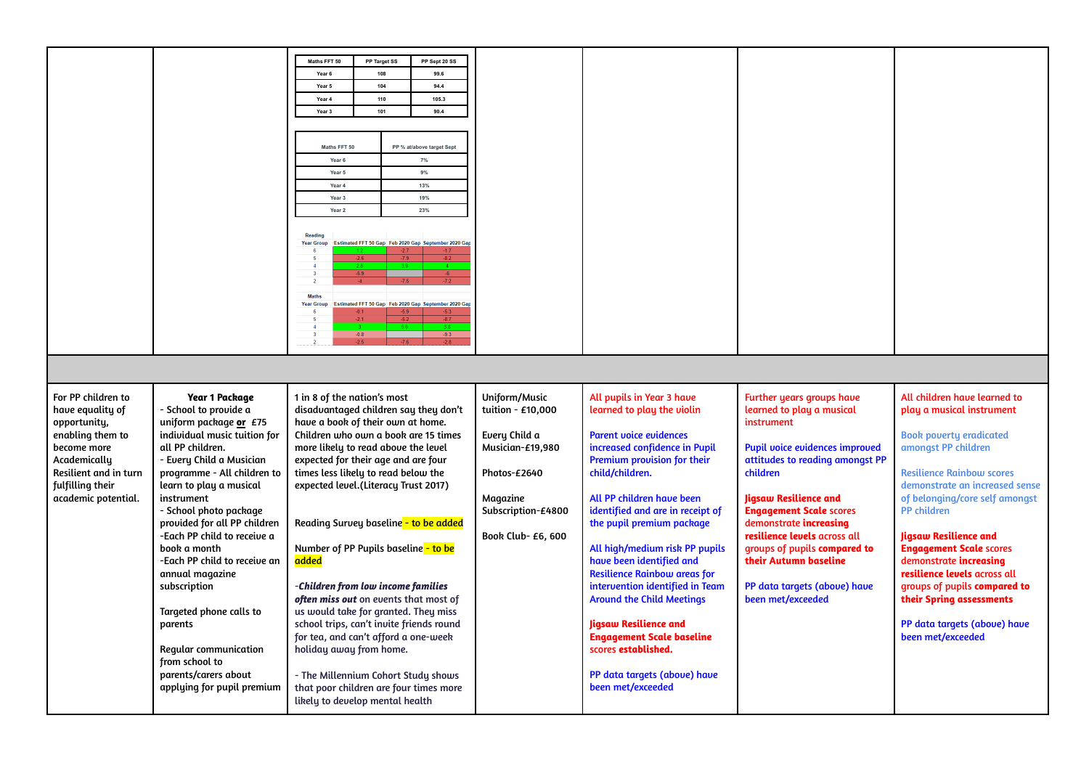|                       |                              | Maths FFT 50                             | PP Target SS | PP Sept 20 SS                                        |                    |                                     |                                  |                                  |
|-----------------------|------------------------------|------------------------------------------|--------------|------------------------------------------------------|--------------------|-------------------------------------|----------------------------------|----------------------------------|
|                       |                              | Year 6                                   | 108          | 99.6                                                 |                    |                                     |                                  |                                  |
|                       |                              | Year 5                                   | 104          | 94.4                                                 |                    |                                     |                                  |                                  |
|                       |                              |                                          |              |                                                      |                    |                                     |                                  |                                  |
|                       |                              | Year 4                                   | 110          | 105.3                                                |                    |                                     |                                  |                                  |
|                       |                              | Year 3                                   | 101          | 90.4                                                 |                    |                                     |                                  |                                  |
|                       |                              |                                          |              |                                                      |                    |                                     |                                  |                                  |
|                       |                              |                                          |              |                                                      |                    |                                     |                                  |                                  |
|                       |                              | Maths FFT 50                             |              | PP % at/above target Sept                            |                    |                                     |                                  |                                  |
|                       |                              | Year 6                                   |              | 7%                                                   |                    |                                     |                                  |                                  |
|                       |                              | Year 5<br>9%<br>Year 4<br>13%            |              |                                                      |                    |                                     |                                  |                                  |
|                       |                              |                                          |              |                                                      |                    |                                     |                                  |                                  |
|                       |                              | Year 3                                   |              | 19%                                                  |                    |                                     |                                  |                                  |
|                       |                              | Year 2                                   |              | 23%                                                  |                    |                                     |                                  |                                  |
|                       |                              |                                          |              |                                                      |                    |                                     |                                  |                                  |
|                       |                              | Reading                                  |              |                                                      |                    |                                     |                                  |                                  |
|                       |                              | <b>Year Group</b>                        |              | Estimated FFT 50 Gap Feb 2020 Gap September 2020 Ga  |                    |                                     |                                  |                                  |
|                       |                              |                                          |              |                                                      |                    |                                     |                                  |                                  |
|                       |                              | $\overline{\mathbf{3}}$                  |              |                                                      |                    |                                     |                                  |                                  |
|                       |                              | $\overline{2}$                           |              |                                                      |                    |                                     |                                  |                                  |
|                       |                              | <b>Maths</b>                             |              |                                                      |                    |                                     |                                  |                                  |
|                       |                              | <b>Year Group</b>                        |              | Estimated FFT 50 Gap Feb 2020 Gap September 2020 Gap |                    |                                     |                                  |                                  |
|                       |                              |                                          |              |                                                      |                    |                                     |                                  |                                  |
|                       |                              | $\overline{3}$                           | $-0.8$       | $-9.3$                                               |                    |                                     |                                  |                                  |
|                       |                              |                                          | $-2.5$       | $-2.8$                                               |                    |                                     |                                  |                                  |
|                       |                              |                                          |              |                                                      |                    |                                     |                                  |                                  |
|                       |                              |                                          |              |                                                      |                    |                                     |                                  |                                  |
|                       |                              |                                          |              |                                                      |                    |                                     |                                  |                                  |
| For PP children to    | <b>Year 1 Package</b>        | 1 in 8 of the nation's most              |              |                                                      | Uniform/Music      | All pupils in Year 3 have           | <b>Further years groups have</b> | All children have learned to     |
| have equality of      | - School to provide a        | disadvantaged children say they don't    |              |                                                      | tuition - £10,000  | learned to play the violin          | learned to play a musical        | play a musical instrument        |
| opportunity,          | uniform package or £75       | have a book of their own at home.        |              |                                                      |                    |                                     | instrument                       |                                  |
| enabling them to      | individual music tuition for | Children who own a book are 15 times     |              |                                                      | Every Child a      | <b>Parent voice evidences</b>       |                                  | <b>Book poverty eradicated</b>   |
| become more           | all PP children.             | more likely to read above the level      |              |                                                      | Musician-£19,980   | increased confidence in Pupil       | Pupil voice evidences improved   | amongst PP children              |
| Academically          | - Every Child a Musician     | expected for their age and are four      |              |                                                      |                    | Premium provision for their         | attitudes to reading amongst PP  |                                  |
| Resilient and in turn | programme - All children to  | times less likely to read below the      |              |                                                      | Photos-£2640       | child/children.                     | children                         | <b>Resilience Rainbow scores</b> |
| fulfilling their      | learn to play a musical      | expected level.(Literacy Trust 2017)     |              |                                                      |                    |                                     |                                  | demonstrate an increased sense   |
| academic potential.   | instrument                   |                                          |              |                                                      | Magazine           | All PP children have been           | <b>Jigsaw Resilience and</b>     | of belonging/core self amongst   |
|                       | - School photo package       |                                          |              |                                                      | Subscription-£4800 | identified and are in receipt of    | <b>Engagement Scale scores</b>   | <b>PP</b> children               |
|                       | provided for all PP children | Reading Survey baseline - to be added    |              |                                                      |                    | the pupil premium package           | demonstrate increasing           |                                  |
|                       | -Each PP child to receive a  |                                          |              |                                                      | Book Club- £6, 600 |                                     | resilience levels across all     | <b>Jigsaw Resilience and</b>     |
|                       | book a month                 | Number of PP Pupils baseline - to be     |              |                                                      |                    | All high/medium risk PP pupils      | groups of pupils compared to     | <b>Engagement Scale scores</b>   |
|                       | -Each PP child to receive an | added                                    |              |                                                      |                    | have been identified and            | their Autumn baseline            | demonstrate increasing           |
|                       | annual magazine              |                                          |              |                                                      |                    | <b>Resilience Rainbow areas for</b> |                                  | resilience levels across all     |
|                       | subscription                 | -Children from low income families       |              |                                                      |                    | intervention identified in Team     | PP data targets (above) have     | groups of pupils compared to     |
|                       |                              | often miss out on events that most of    |              |                                                      |                    | <b>Around the Child Meetings</b>    | been met/exceeded                | their Spring assessments         |
|                       | Targeted phone calls to      | us would take for granted. They miss     |              |                                                      |                    |                                     |                                  |                                  |
|                       | parents                      | school trips, can't invite friends round |              |                                                      |                    | <b>Jigsaw Resilience and</b>        |                                  | PP data targets (above) have     |
|                       |                              | for tea, and can't afford a one-week     |              |                                                      |                    | <b>Engagement Scale baseline</b>    |                                  | been met/exceeded                |
|                       |                              |                                          |              |                                                      |                    | scores established.                 |                                  |                                  |
|                       | Regular communication        | holiday away from home.                  |              |                                                      |                    |                                     |                                  |                                  |
|                       | from school to               |                                          |              |                                                      |                    |                                     |                                  |                                  |
|                       | parents/carers about         | - The Millennium Cohort Study shows      |              |                                                      |                    | PP data targets (above) have        |                                  |                                  |
|                       | applying for pupil premium   | that poor children are four times more   |              |                                                      |                    | been met/exceeded                   |                                  |                                  |
|                       |                              | likely to develop mental health          |              |                                                      |                    |                                     |                                  |                                  |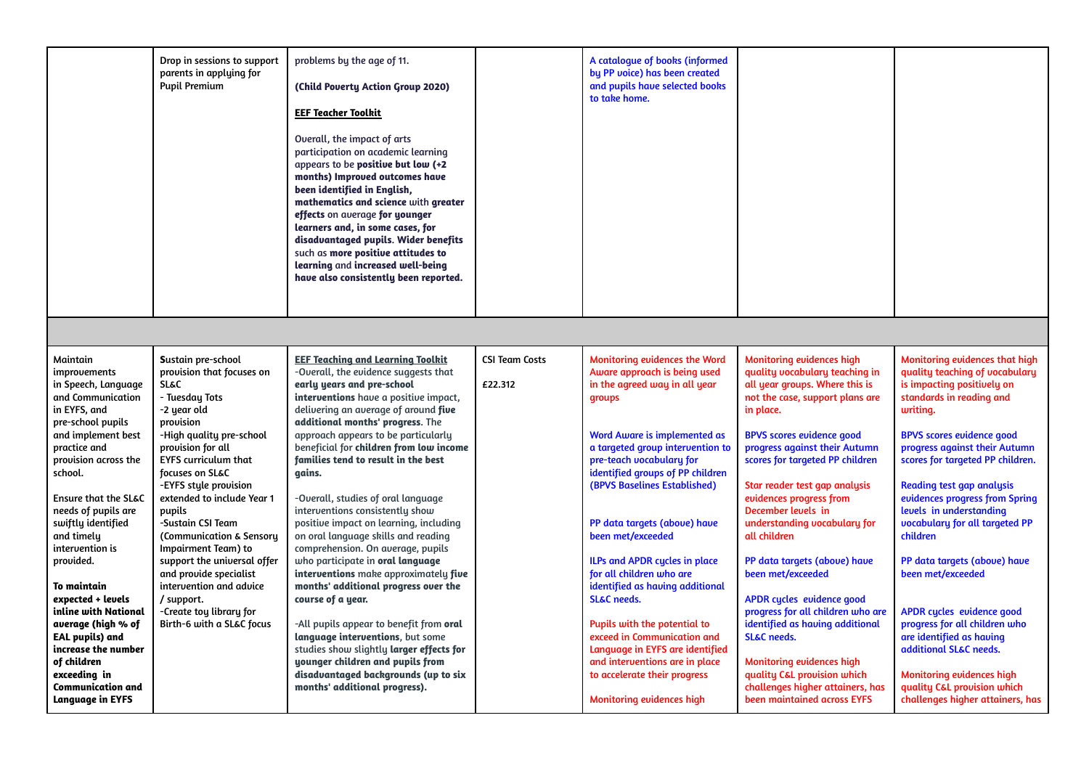|                                              | Drop in sessions to support<br>parents in applying for<br><b>Pupil Premium</b> | problems by the age of 11.<br>(Child Poverty Action Group 2020)<br><b>EEF Teacher Toolkit</b><br>Overall, the impact of arts<br>participation on academic learning<br>appears to be <b>positive but low</b> $(+2)$<br>months) Improved outcomes have<br>been identified in English,<br>mathematics and science with greater<br>effects on average for younger<br>learners and, in some cases, for<br>disadvantaged pupils. Wider benefits<br>such as more positive attitudes to<br>learning and increased well-being<br>have also consistently been reported. |                       | A catalogue of books (informed<br>by PP voice) has been created<br>and pupils have selected books<br>to take home. |                                                           |                                                           |
|----------------------------------------------|--------------------------------------------------------------------------------|---------------------------------------------------------------------------------------------------------------------------------------------------------------------------------------------------------------------------------------------------------------------------------------------------------------------------------------------------------------------------------------------------------------------------------------------------------------------------------------------------------------------------------------------------------------|-----------------------|--------------------------------------------------------------------------------------------------------------------|-----------------------------------------------------------|-----------------------------------------------------------|
|                                              |                                                                                |                                                                                                                                                                                                                                                                                                                                                                                                                                                                                                                                                               |                       |                                                                                                                    |                                                           |                                                           |
|                                              |                                                                                |                                                                                                                                                                                                                                                                                                                                                                                                                                                                                                                                                               |                       |                                                                                                                    |                                                           |                                                           |
|                                              |                                                                                |                                                                                                                                                                                                                                                                                                                                                                                                                                                                                                                                                               |                       |                                                                                                                    |                                                           |                                                           |
| Maintain                                     | Sustain pre-school                                                             | <b>EEF Teaching and Learning Toolkit</b>                                                                                                                                                                                                                                                                                                                                                                                                                                                                                                                      | <b>CSI Team Costs</b> | <b>Monitoring evidences the Word</b>                                                                               | <b>Monitoring evidences high</b>                          | Monitoring evidences that high                            |
| improvements                                 | provision that focuses on                                                      | -Overall, the evidence suggests that                                                                                                                                                                                                                                                                                                                                                                                                                                                                                                                          |                       | Aware approach is being used                                                                                       | quality vocabulary teaching in                            | quality teaching of vocabulary                            |
| in Speech, Language                          | <b>SL&amp;C</b>                                                                | early years and pre-school                                                                                                                                                                                                                                                                                                                                                                                                                                                                                                                                    | £22.312               | in the agreed way in all year                                                                                      | all year groups. Where this is                            | is impacting positively on                                |
| and Communication                            | - Tuesday Tots                                                                 | interventions have a positive impact,                                                                                                                                                                                                                                                                                                                                                                                                                                                                                                                         |                       | groups                                                                                                             | not the case, support plans are                           | standards in reading and                                  |
| in EYFS, and                                 | -2 year old                                                                    | delivering an average of around five                                                                                                                                                                                                                                                                                                                                                                                                                                                                                                                          |                       |                                                                                                                    | in place.                                                 | writing.                                                  |
| pre-school pupils                            | provision                                                                      | additional months' progress. The                                                                                                                                                                                                                                                                                                                                                                                                                                                                                                                              |                       |                                                                                                                    |                                                           |                                                           |
| and implement best                           | -High quality pre-school                                                       | approach appears to be particularly                                                                                                                                                                                                                                                                                                                                                                                                                                                                                                                           |                       | Word Aware is implemented as                                                                                       | <b>BPVS scores evidence good</b>                          | <b>BPVS scores evidence good</b>                          |
| practice and                                 | provision for all                                                              | beneficial for children from low income                                                                                                                                                                                                                                                                                                                                                                                                                                                                                                                       |                       | a targeted group intervention to                                                                                   | progress against their Autumn                             | progress against their Autumn                             |
| provision across the                         | <b>EYFS curriculum that</b>                                                    | families tend to result in the best                                                                                                                                                                                                                                                                                                                                                                                                                                                                                                                           |                       | pre-teach vocabulary for                                                                                           | scores for targeted PP children                           | scores for targeted PP children.                          |
| school.                                      | focuses on SL&C                                                                | gains.                                                                                                                                                                                                                                                                                                                                                                                                                                                                                                                                                        |                       | identified groups of PP children                                                                                   |                                                           |                                                           |
|                                              | -EYFS style provision                                                          |                                                                                                                                                                                                                                                                                                                                                                                                                                                                                                                                                               |                       | (BPVS Baselines Established)                                                                                       | Star reader test gap analysis                             | <b>Reading test gap analysis</b>                          |
| <b>Ensure that the SL&amp;C</b>              | extended to include Year 1                                                     | -Overall, studies of oral language                                                                                                                                                                                                                                                                                                                                                                                                                                                                                                                            |                       |                                                                                                                    | evidences progress from                                   | evidences progress from Spring                            |
| needs of pupils are                          | pupils                                                                         | interventions consistently show                                                                                                                                                                                                                                                                                                                                                                                                                                                                                                                               |                       |                                                                                                                    | December levels in                                        | levels in understanding                                   |
| swiftly identified                           | -Sustain CSI Team                                                              | positive impact on learning, including                                                                                                                                                                                                                                                                                                                                                                                                                                                                                                                        |                       | PP data targets (above) have                                                                                       | understanding vocabulary for                              | vocabulary for all targeted PP                            |
| and timely                                   | (Communication & Sensory                                                       | on oral language skills and reading                                                                                                                                                                                                                                                                                                                                                                                                                                                                                                                           |                       | been met/exceeded                                                                                                  | all children                                              | children                                                  |
| intervention is                              | Impairment Team) to                                                            | comprehension. On average, pupils                                                                                                                                                                                                                                                                                                                                                                                                                                                                                                                             |                       |                                                                                                                    |                                                           |                                                           |
| provided.                                    | support the universal offer                                                    | who participate in <b>oral language</b>                                                                                                                                                                                                                                                                                                                                                                                                                                                                                                                       |                       | ILPs and APDR cycles in place                                                                                      | PP data targets (above) have                              | PP data targets (above) have                              |
|                                              | and provide specialist                                                         | interventions make approximately five                                                                                                                                                                                                                                                                                                                                                                                                                                                                                                                         |                       | for all children who are                                                                                           | been met/exceeded                                         | been met/exceeded                                         |
| To maintain                                  | intervention and advice                                                        | months' additional progress over the                                                                                                                                                                                                                                                                                                                                                                                                                                                                                                                          |                       | identified as having additional                                                                                    |                                                           |                                                           |
| expected + levels                            | / support.                                                                     | course of a year.                                                                                                                                                                                                                                                                                                                                                                                                                                                                                                                                             |                       | <b>SL&amp;C</b> needs.                                                                                             | APDR cycles evidence good                                 |                                                           |
| inline with National                         | -Create toy library for                                                        |                                                                                                                                                                                                                                                                                                                                                                                                                                                                                                                                                               |                       |                                                                                                                    | progress for all children who are                         | APDR cycles evidence good                                 |
| average (high % of<br><b>EAL pupils) and</b> | Birth-6 with a SL&C focus                                                      | -All pupils appear to benefit from oral                                                                                                                                                                                                                                                                                                                                                                                                                                                                                                                       |                       | Pupils with the potential to<br>exceed in Communication and                                                        | identified as having additional<br><b>SL&amp;C</b> needs. | progress for all children who<br>are identified as having |
| increase the number                          |                                                                                | language interventions, but some<br>studies show slightly larger effects for                                                                                                                                                                                                                                                                                                                                                                                                                                                                                  |                       | Language in EYFS are identified                                                                                    |                                                           | additional SL&C needs.                                    |
| of children                                  |                                                                                | younger children and pupils from                                                                                                                                                                                                                                                                                                                                                                                                                                                                                                                              |                       | and interventions are in place                                                                                     | Monitoring evidences high                                 |                                                           |
| exceeding in                                 |                                                                                | disadvantaged backgrounds (up to six                                                                                                                                                                                                                                                                                                                                                                                                                                                                                                                          |                       | to accelerate their progress                                                                                       | quality C&L provision which                               | <b>Monitoring evidences high</b>                          |
| <b>Communication and</b>                     |                                                                                | months' additional progress).                                                                                                                                                                                                                                                                                                                                                                                                                                                                                                                                 |                       |                                                                                                                    | challenges higher attainers, has                          | quality C&L provision which                               |
| <b>Language in EYFS</b>                      |                                                                                |                                                                                                                                                                                                                                                                                                                                                                                                                                                                                                                                                               |                       | Monitoring evidences high                                                                                          | been maintained across EYFS                               | challenges higher attainers, has                          |